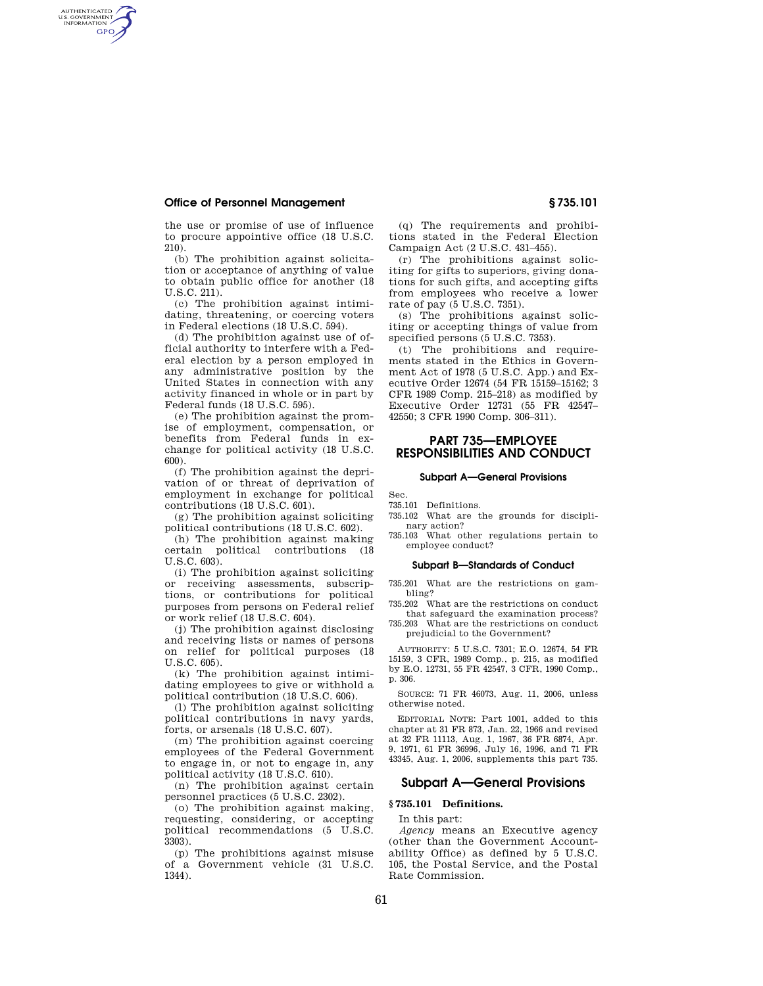# **Office of Personnel Management § 735.101**

AUTHENTICATED<br>U.S. GOVERNMENT<br>INFORMATION **GPO** 

> the use or promise of use of influence to procure appointive office (18 U.S.C. 210).

> (b) The prohibition against solicitation or acceptance of anything of value to obtain public office for another (18 U.S.C. 211).

> (c) The prohibition against intimidating, threatening, or coercing voters in Federal elections (18 U.S.C. 594).

> (d) The prohibition against use of official authority to interfere with a Federal election by a person employed in any administrative position by the United States in connection with any activity financed in whole or in part by Federal funds (18 U.S.C. 595).

> (e) The prohibition against the promise of employment, compensation, or benefits from Federal funds in exchange for political activity (18 U.S.C. 600).

> (f) The prohibition against the deprivation of or threat of deprivation of employment in exchange for political contributions (18 U.S.C. 601).

> (g) The prohibition against soliciting political contributions (18 U.S.C. 602).

> (h) The prohibition against making certain political contributions (18 U.S.C. 603).

(i) The prohibition against soliciting or receiving assessments, subscriptions, or contributions for political purposes from persons on Federal relief or work relief (18 U.S.C. 604).

(j) The prohibition against disclosing and receiving lists or names of persons on relief for political purposes (18  $U.S.C. 605$ 

(k) The prohibition against intimidating employees to give or withhold a political contribution (18 U.S.C. 606).

(l) The prohibition against soliciting political contributions in navy yards, forts, or arsenals (18 U.S.C. 607).

(m) The prohibition against coercing employees of the Federal Government to engage in, or not to engage in, any political activity (18 U.S.C. 610).

(n) The prohibition against certain personnel practices (5 U.S.C. 2302).

(o) The prohibition against making, requesting, considering, or accepting political recommendations (5 U.S.C. 3303).

(p) The prohibitions against misuse of a Government vehicle (31 U.S.C. 1344).

(q) The requirements and prohibitions stated in the Federal Election Campaign Act (2 U.S.C. 431–455).

(r) The prohibitions against soliciting for gifts to superiors, giving donations for such gifts, and accepting gifts from employees who receive a lower rate of pay (5 U.S.C. 7351).

(s) The prohibitions against soliciting or accepting things of value from specified persons (5 U.S.C. 7353).

(t) The prohibitions and requirements stated in the Ethics in Government Act of 1978 (5 U.S.C. App.) and Executive Order 12674 (54 FR 15159–15162; 3 CFR 1989 Comp. 215–218) as modified by Executive Order 12731 (55 FR 42547– 42550; 3 CFR 1990 Comp. 306–311).

# **PART 735—EMPLOYEE RESPONSIBILITIES AND CONDUCT**

#### **Subpart A—General Provisions**

# Sec.

735.101 Definitions.

735.102 What are the grounds for disciplinary action?

735.103 What other regulations pertain to employee conduct?

#### **Subpart B—Standards of Conduct**

735.201 What are the restrictions on gambling?

735.202 What are the restrictions on conduct that safeguard the examination process?

735.203 What are the restrictions on conduct prejudicial to the Government?

AUTHORITY: 5 U.S.C. 7301; E.O. 12674, 54 FR 15159, 3 CFR, 1989 Comp., p. 215, as modified by E.O. 12731, 55 FR 42547, 3 CFR, 1990 Comp., p. 306.

SOURCE: 71 FR 46073, Aug. 11, 2006, unless otherwise noted.

EDITORIAL NOTE: Part 1001, added to this chapter at 31 FR 873, Jan. 22, 1966 and revised at 32 FR 11113, Aug. 1, 1967, 36 FR 6874, Apr. 9, 1971, 61 FR 36996, July 16, 1996, and 71 FR 43345, Aug. 1, 2006, supplements this part 735.

# **Subpart A—General Provisions**

#### **§ 735.101 Definitions.**

In this part:

*Agency* means an Executive agency (other than the Government Accountability Office) as defined by 5 U.S.C. 105, the Postal Service, and the Postal Rate Commission.